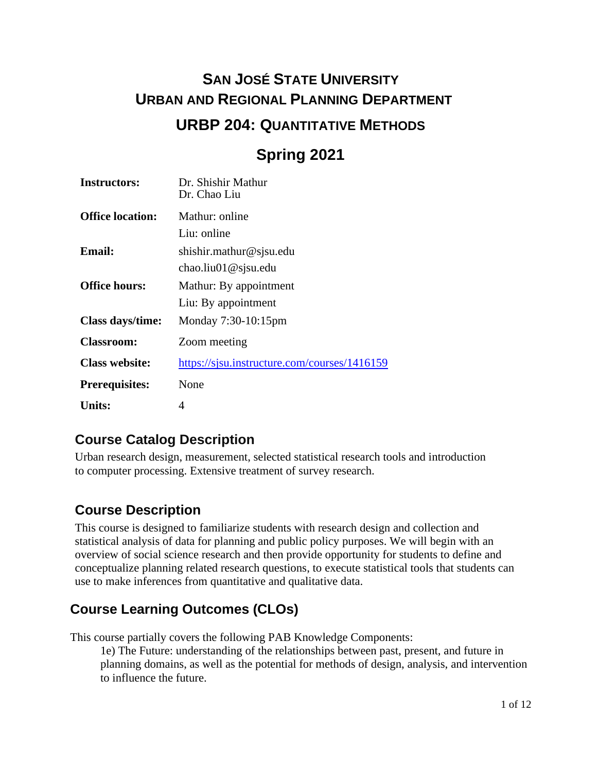# **SAN JOSÉ STATE UNIVERSITY URBAN AND REGIONAL PLANNING DEPARTMENT URBP 204: QUANTITATIVE METHODS**

# **Spring 2021**

| <b>Instructors:</b>     | Dr. Shishir Mathur<br>Dr. Chao Liu           |  |
|-------------------------|----------------------------------------------|--|
| <b>Office location:</b> | Mathur: online                               |  |
|                         | Liu: online                                  |  |
| <b>Email:</b>           | shishir.mathur@sjsu.edu                      |  |
|                         | chao.liu01@sjsu.edu                          |  |
| <b>Office hours:</b>    | Mathur: By appointment                       |  |
|                         | Liu: By appointment                          |  |
| Class days/time:        | Monday 7:30-10:15pm                          |  |
| <b>Classroom:</b>       | Zoom meeting                                 |  |
| <b>Class website:</b>   | https://sjsu.instructure.com/courses/1416159 |  |
| <b>Prerequisites:</b>   | None                                         |  |
| <b>Units:</b>           | 4                                            |  |

# **Course Catalog Description**

Urban research design, measurement, selected statistical research tools and introduction to computer processing. Extensive treatment of survey research.

# **Course Description**

This course is designed to familiarize students with research design and collection and statistical analysis of data for planning and public policy purposes. We will begin with an overview of social science research and then provide opportunity for students to define and conceptualize planning related research questions, to execute statistical tools that students can use to make inferences from quantitative and qualitative data.

# **Course Learning Outcomes (CLOs)**

This course partially covers the following PAB Knowledge Components:

1e) The Future: understanding of the relationships between past, present, and future in planning domains, as well as the potential for methods of design, analysis, and intervention to influence the future.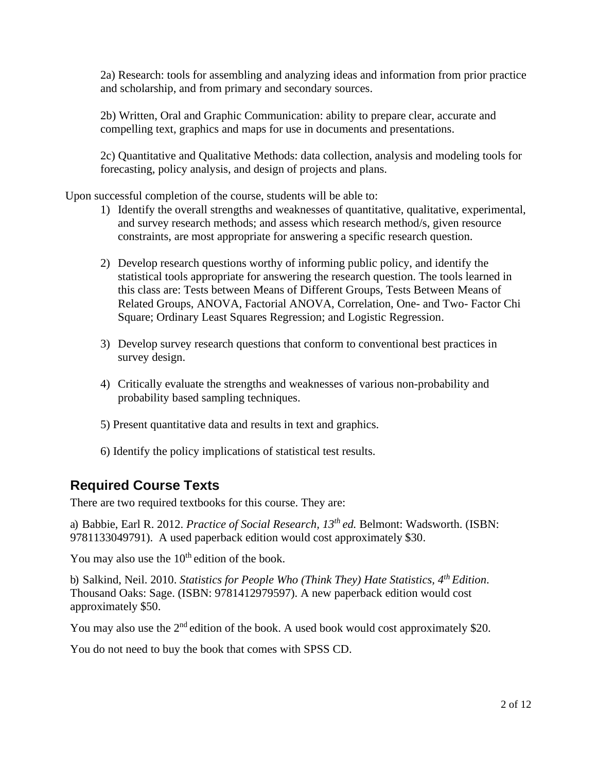2a) Research: tools for assembling and analyzing ideas and information from prior practice and scholarship, and from primary and secondary sources.

2b) Written, Oral and Graphic Communication: ability to prepare clear, accurate and compelling text, graphics and maps for use in documents and presentations.

2c) Quantitative and Qualitative Methods: data collection, analysis and modeling tools for forecasting, policy analysis, and design of projects and plans.

Upon successful completion of the course, students will be able to:

- 1) Identify the overall strengths and weaknesses of quantitative, qualitative, experimental, and survey research methods; and assess which research method/s, given resource constraints, are most appropriate for answering a specific research question.
- 2) Develop research questions worthy of informing public policy, and identify the statistical tools appropriate for answering the research question. The tools learned in this class are: Tests between Means of Different Groups, Tests Between Means of Related Groups, ANOVA, Factorial ANOVA, Correlation, One- and Two- Factor Chi Square; Ordinary Least Squares Regression; and Logistic Regression.
- 3) Develop survey research questions that conform to conventional best practices in survey design.
- 4) Critically evaluate the strengths and weaknesses of various non-probability and probability based sampling techniques.
- 5) Present quantitative data and results in text and graphics.
- 6) Identify the policy implications of statistical test results.

### **Required Course Texts**

There are two required textbooks for this course. They are:

a) Babbie, Earl R. 2012. *Practice of Social Research, 13th ed.* Belmont: Wadsworth. (ISBN: 9781133049791). A used paperback edition would cost approximately \$30.

You may also use the  $10<sup>th</sup>$  edition of the book.

b) Salkind, Neil. 2010. *Statistics for People Who (Think They) Hate Statistics, 4th Edition*. Thousand Oaks: Sage. (ISBN: 9781412979597). A new paperback edition would cost approximately \$50.

You may also use the 2<sup>nd</sup> edition of the book. A used book would cost approximately \$20.

You do not need to buy the book that comes with SPSS CD.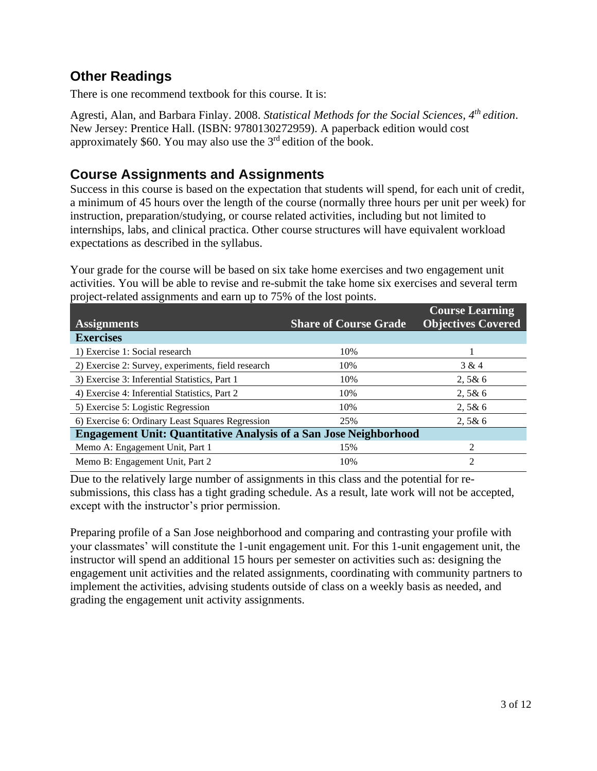# **Other Readings**

There is one recommend textbook for this course. It is:

Agresti, Alan, and Barbara Finlay. 2008. *Statistical Methods for the Social Sciences, 4th edition*. New Jersey: Prentice Hall. (ISBN: 9780130272959). A paperback edition would cost approximately \$60. You may also use the 3rd edition of the book.

## **Course Assignments and Assignments**

Success in this course is based on the expectation that students will spend, for each unit of credit, a minimum of 45 hours over the length of the course (normally three hours per unit per week) for instruction, preparation/studying, or course related activities, including but not limited to internships, labs, and clinical practica. Other course structures will have equivalent workload expectations as described in the syllabus.

Your grade for the course will be based on six take home exercises and two engagement unit activities. You will be able to revise and re-submit the take home six exercises and several term project-related assignments and earn up to 75% of the lost points.

| <b>Assignments</b>                                                       | <b>Share of Course Grade</b> | <b>Course Learning</b><br><b>Objectives Covered</b> |  |
|--------------------------------------------------------------------------|------------------------------|-----------------------------------------------------|--|
| <b>Exercises</b>                                                         |                              |                                                     |  |
| 1) Exercise 1: Social research                                           | 10%                          |                                                     |  |
| 2) Exercise 2: Survey, experiments, field research                       | 10%                          | 3 & 4                                               |  |
| 3) Exercise 3: Inferential Statistics, Part 1                            | 10%                          | 2,5&6                                               |  |
| 4) Exercise 4: Inferential Statistics, Part 2                            | 10%                          | 2,5&6                                               |  |
| 5) Exercise 5: Logistic Regression                                       | 10%                          | 2,5&6                                               |  |
| 6) Exercise 6: Ordinary Least Squares Regression                         | 25%                          | 2,5&6                                               |  |
| <b>Engagement Unit: Quantitative Analysis of a San Jose Neighborhood</b> |                              |                                                     |  |
| Memo A: Engagement Unit, Part 1                                          | 15%                          | 2                                                   |  |
| Memo B: Engagement Unit, Part 2                                          | 10%                          | $\overline{c}$                                      |  |

Due to the relatively large number of assignments in this class and the potential for resubmissions, this class has a tight grading schedule. As a result, late work will not be accepted, except with the instructor's prior permission.

Preparing profile of a San Jose neighborhood and comparing and contrasting your profile with your classmates' will constitute the 1-unit engagement unit. For this 1-unit engagement unit, the instructor will spend an additional 15 hours per semester on activities such as: designing the engagement unit activities and the related assignments, coordinating with community partners to implement the activities, advising students outside of class on a weekly basis as needed, and grading the engagement unit activity assignments.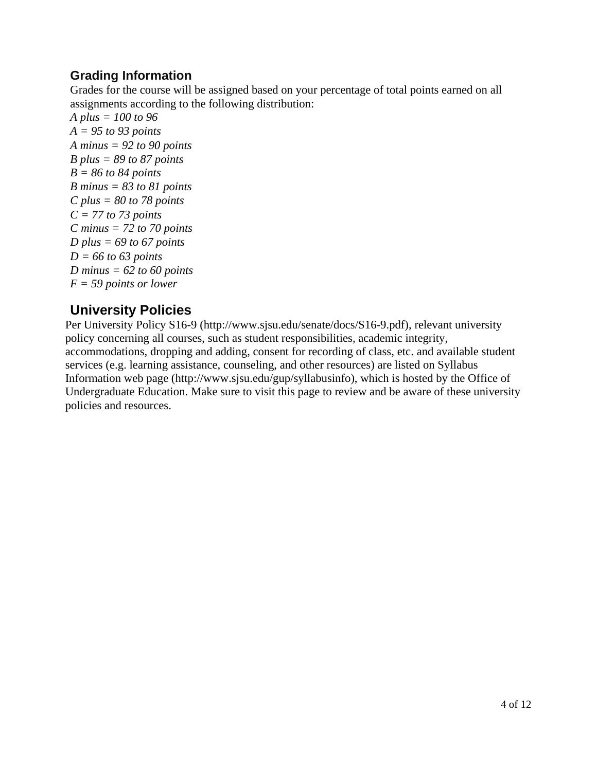### **Grading Information**

Grades for the course will be assigned based on your percentage of total points earned on all assignments according to the following distribution:

*A plus = 100 to 96 A = 95 to 93 points A minus = 92 to 90 points B plus = 89 to 87 points B = 86 to 84 points B minus = 83 to 81 points C plus = 80 to 78 points C = 77 to 73 points C minus = 72 to 70 points D plus = 69 to 67 points D = 66 to 63 points D minus = 62 to 60 points F = 59 points or lower*

# **University Policies**

Per University Policy S16-9 (http://www.sjsu.edu/senate/docs/S16-9.pdf), relevant university policy concerning all courses, such as student responsibilities, academic integrity, accommodations, dropping and adding, consent for recording of class, etc. and available student services (e.g. learning assistance, counseling, and other resources) are listed on Syllabus Information web page (http://www.sjsu.edu/gup/syllabusinfo), which is hosted by the Office of Undergraduate Education. Make sure to visit this page to review and be aware of these university policies and resources.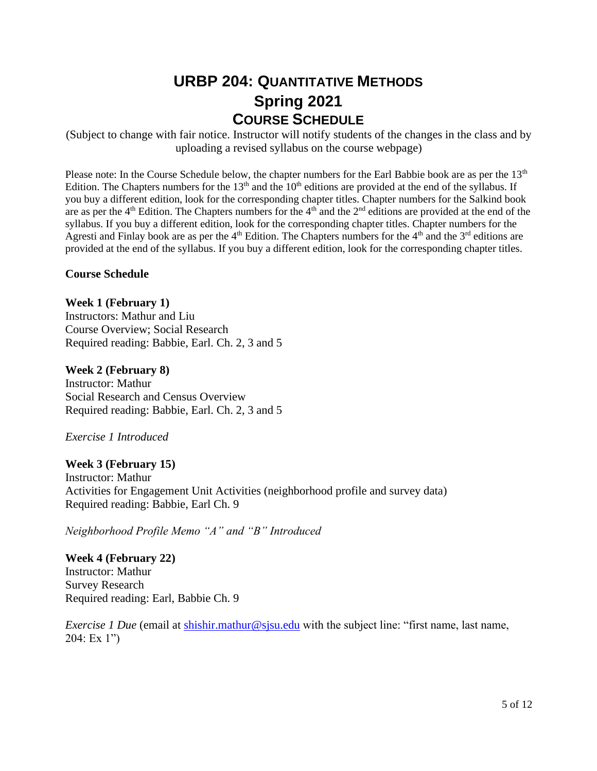# **URBP 204: QUANTITATIVE METHODS Spring 2021 COURSE SCHEDULE**

(Subject to change with fair notice. Instructor will notify students of the changes in the class and by uploading a revised syllabus on the course webpage)

Please note: In the Course Schedule below, the chapter numbers for the Earl Babbie book are as per the 13<sup>th</sup> Edition. The Chapters numbers for the  $13<sup>th</sup>$  and the  $10<sup>th</sup>$  editions are provided at the end of the syllabus. If you buy a different edition, look for the corresponding chapter titles. Chapter numbers for the Salkind book are as per the  $4<sup>th</sup>$  Edition. The Chapters numbers for the  $4<sup>th</sup>$  and the  $2<sup>nd</sup>$  editions are provided at the end of the syllabus. If you buy a different edition, look for the corresponding chapter titles. Chapter numbers for the Agresti and Finlay book are as per the  $4<sup>th</sup>$  Edition. The Chapters numbers for the  $4<sup>th</sup>$  and the  $3<sup>rd</sup>$  editions are provided at the end of the syllabus. If you buy a different edition, look for the corresponding chapter titles.

### **Course Schedule**

**Week 1 (February 1)** Instructors: Mathur and Liu Course Overview; Social Research Required reading: Babbie, Earl. Ch. 2, 3 and 5

**Week 2 (February 8)**  Instructor: Mathur Social Research and Census Overview Required reading: Babbie, Earl. Ch. 2, 3 and 5

*Exercise 1 Introduced*

**Week 3 (February 15)** Instructor: Mathur Activities for Engagement Unit Activities (neighborhood profile and survey data) Required reading: Babbie, Earl Ch. 9

*Neighborhood Profile Memo "A" and "B" Introduced* 

**Week 4 (February 22)** Instructor: Mathur Survey Research Required reading: Earl, Babbie Ch. 9

*Exercise 1 Due* (email at [shishir.mathur@sjsu.edu](mailto:shishir.mathur@sjsu.edu) with the subject line: "first name, last name, 204: Ex 1")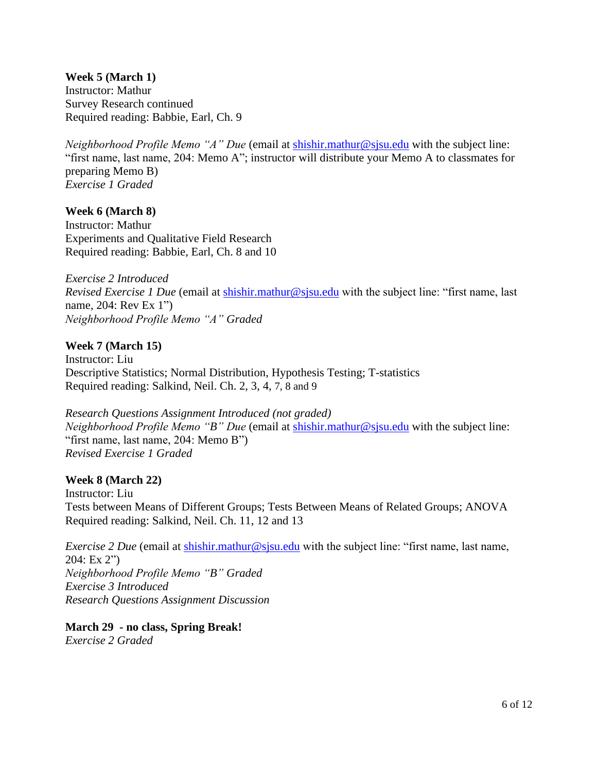**Week 5 (March 1)**  Instructor: Mathur Survey Research continued Required reading: Babbie, Earl, Ch. 9

*Neighborhood Profile Memo "A" Due* (email at **shishir.mathur@sjsu.edu** with the subject line: "first name, last name, 204: Memo A"; instructor will distribute your Memo A to classmates for preparing Memo B) *Exercise 1 Graded*

**Week 6 (March 8)** Instructor: Mathur Experiments and Qualitative Field Research Required reading: Babbie, Earl, Ch. 8 and 10

*Exercise 2 Introduced Revised Exercise 1 Due* (email at [shishir.mathur@sjsu.edu](mailto:shishir.mathur@sjsu.edu) with the subject line: "first name, last name, 204: Rev Ex 1") *Neighborhood Profile Memo "A" Graded*

### **Week 7 (March 15)**

Instructor: Liu Descriptive Statistics; Normal Distribution, Hypothesis Testing; T-statistics Required reading: Salkind, Neil. Ch. 2, 3, 4, 7, 8 and 9

*Research Questions Assignment Introduced (not graded) Neighborhood Profile Memo "B" Due* (email at [shishir.mathur@sjsu.edu](mailto:shishir.mathur@sjsu.edu) with the subject line: "first name, last name, 204: Memo B") *Revised Exercise 1 Graded*

#### **Week 8 (March 22)**

Instructor: Liu Tests between Means of Different Groups; Tests Between Means of Related Groups; ANOVA Required reading: Salkind, Neil. Ch. 11, 12 and 13

*Exercise 2 Due* (email at [shishir.mathur@sjsu.edu](mailto:shishir.mathur@sjsu.edu) with the subject line: "first name, last name, 204: Ex 2") *Neighborhood Profile Memo "B" Graded Exercise 3 Introduced Research Questions Assignment Discussion* 

**March 29 - no class, Spring Break!**  *Exercise 2 Graded*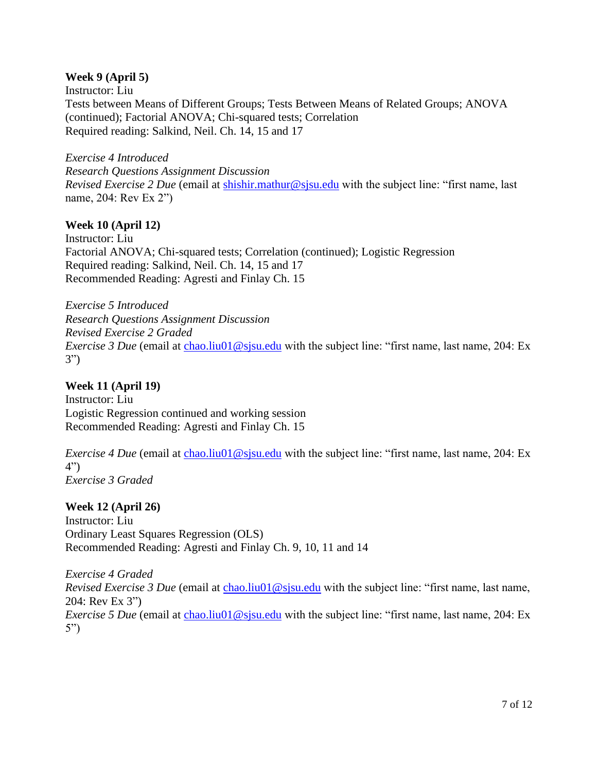### **Week 9 (April 5)**

Instructor: Liu Tests between Means of Different Groups; Tests Between Means of Related Groups; ANOVA (continued); Factorial ANOVA; Chi-squared tests; Correlation Required reading: Salkind, Neil. Ch. 14, 15 and 17

*Exercise 4 Introduced Research Questions Assignment Discussion Revised Exercise 2 Due* (email at [shishir.mathur@sjsu.edu](mailto:shishir.mathur@sjsu.edu) with the subject line: "first name, last name, 204: Rev Ex 2")

### **Week 10 (April 12)**

Instructor: Liu Factorial ANOVA; Chi-squared tests; Correlation (continued); Logistic Regression Required reading: Salkind, Neil. Ch. 14, 15 and 17 Recommended Reading: Agresti and Finlay Ch. 15

*Exercise 5 Introduced Research Questions Assignment Discussion Revised Exercise 2 Graded Exercise 3 Due* (email at [chao.liu01@sjsu.edu](mailto:chao.liu01@sjsu.edu) with the subject line: "first name, last name, 204: Ex 3")

#### **Week 11 (April 19)**

Instructor: Liu Logistic Regression continued and working session Recommended Reading: Agresti and Finlay Ch. 15

*Exercise 4 Due* (email at [chao.liu01@sjsu.edu](mailto:chao.liu01@sjsu.edu) with the subject line: "first name, last name, 204: Ex 4") *Exercise 3 Graded*

#### **Week 12 (April 26)**

Instructor: Liu Ordinary Least Squares Regression (OLS) Recommended Reading: Agresti and Finlay Ch. 9, 10, 11 and 14

*Exercise 4 Graded Revised Exercise 3 Due* (email at [chao.liu01@sjsu.edu](mailto:chao.liu01@sjsu.edu) with the subject line: "first name, last name, 204: Rev Ex 3") *Exercise 5 Due* (email at [chao.liu01@sjsu.edu](mailto:chao.liu01@sjsu.edu) with the subject line: "first name, last name, 204: Ex 5")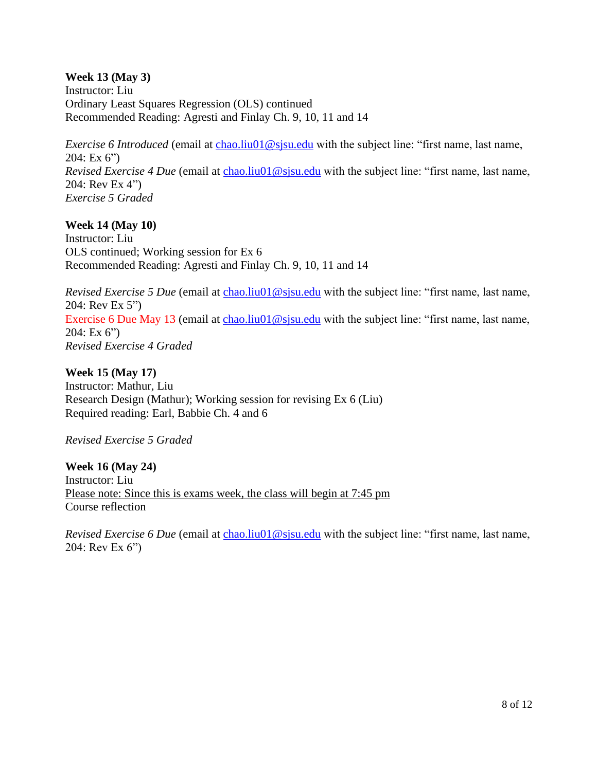**Week 13 (May 3)** Instructor: Liu Ordinary Least Squares Regression (OLS) continued Recommended Reading: Agresti and Finlay Ch. 9, 10, 11 and 14

*Exercise 6 Introduced* (email at *chao.liu01@sjsu.edu* with the subject line: "first name, last name,  $204: Ex 6"$ *Revised Exercise 4 Due* (email at [chao.liu01@sjsu.edu](mailto:chao.liu01@sjsu.edu) with the subject line: "first name, last name, 204: Rev Ex 4") *Exercise 5 Graded*

### **Week 14 (May 10)**

Instructor: Liu OLS continued; Working session for Ex 6 Recommended Reading: Agresti and Finlay Ch. 9, 10, 11 and 14

*Revised Exercise 5 Due* (email at [chao.liu01@sjsu.edu](mailto:chao.liu01@sjsu.edu) with the subject line: "first name, last name, 204: Rev Ex 5") Exercise 6 Due May 13 (email at [chao.liu01@sjsu.edu](mailto:chao.liu01@sjsu.edu) with the subject line: "first name, last name, 204: Ex 6") *Revised Exercise 4 Graded*

**Week 15 (May 17)** Instructor: Mathur, Liu Research Design (Mathur); Working session for revising Ex 6 (Liu) Required reading: Earl, Babbie Ch. 4 and 6

*Revised Exercise 5 Graded*

**Week 16 (May 24)** Instructor: Liu Please note: Since this is exams week, the class will begin at 7:45 pm Course reflection

*Revised Exercise 6 Due* (email at [chao.liu01@sjsu.edu](mailto:chao.liu01@sjsu.edu) with the subject line: "first name, last name, 204: Rev Ex 6")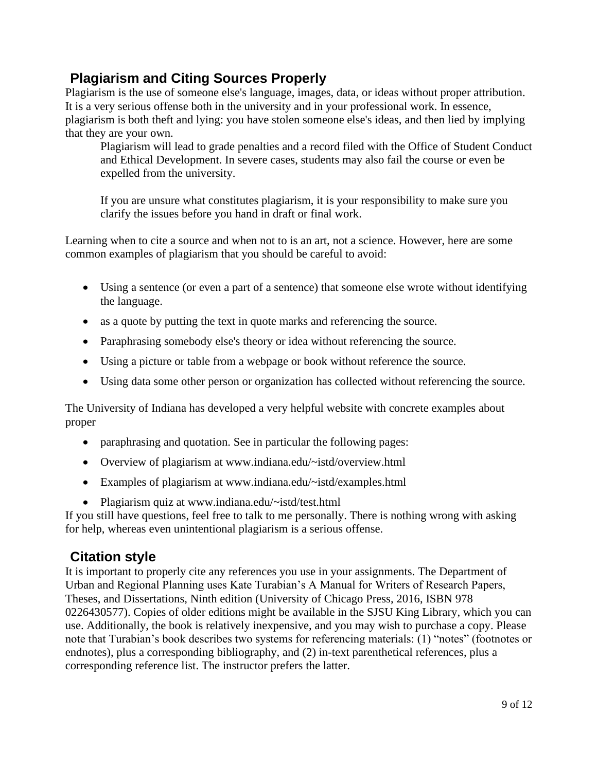### **Plagiarism and Citing Sources Properly**

Plagiarism is the use of someone else's language, images, data, or ideas without proper attribution. It is a very serious offense both in the university and in your professional work. In essence, plagiarism is both theft and lying: you have stolen someone else's ideas, and then lied by implying that they are your own.

Plagiarism will lead to grade penalties and a record filed with the Office of Student Conduct and Ethical Development. In severe cases, students may also fail the course or even be expelled from the university.

If you are unsure what constitutes plagiarism, it is your responsibility to make sure you clarify the issues before you hand in draft or final work.

Learning when to cite a source and when not to is an art, not a science. However, here are some common examples of plagiarism that you should be careful to avoid:

- Using a sentence (or even a part of a sentence) that someone else wrote without identifying the language.
- as a quote by putting the text in quote marks and referencing the source.
- Paraphrasing somebody else's theory or idea without referencing the source.
- Using a picture or table from a webpage or book without reference the source.
- Using data some other person or organization has collected without referencing the source.

The University of Indiana has developed a very helpful website with concrete examples about proper

- paraphrasing and quotation. See in particular the following pages:
- Overview of plagiarism at www.indiana.edu/~istd/overview.html
- Examples of plagiarism at www.indiana.edu/~istd/examples.html
- Plagiarism quiz at www.indiana.edu/~istd/test.html

If you still have questions, feel free to talk to me personally. There is nothing wrong with asking for help, whereas even unintentional plagiarism is a serious offense.

### **Citation style**

It is important to properly cite any references you use in your assignments. The Department of Urban and Regional Planning uses Kate Turabian's A Manual for Writers of Research Papers, Theses, and Dissertations, Ninth edition (University of Chicago Press, 2016, ISBN 978 0226430577). Copies of older editions might be available in the SJSU King Library, which you can use. Additionally, the book is relatively inexpensive, and you may wish to purchase a copy. Please note that Turabian's book describes two systems for referencing materials: (1) "notes" (footnotes or endnotes), plus a corresponding bibliography, and (2) in-text parenthetical references, plus a corresponding reference list. The instructor prefers the latter.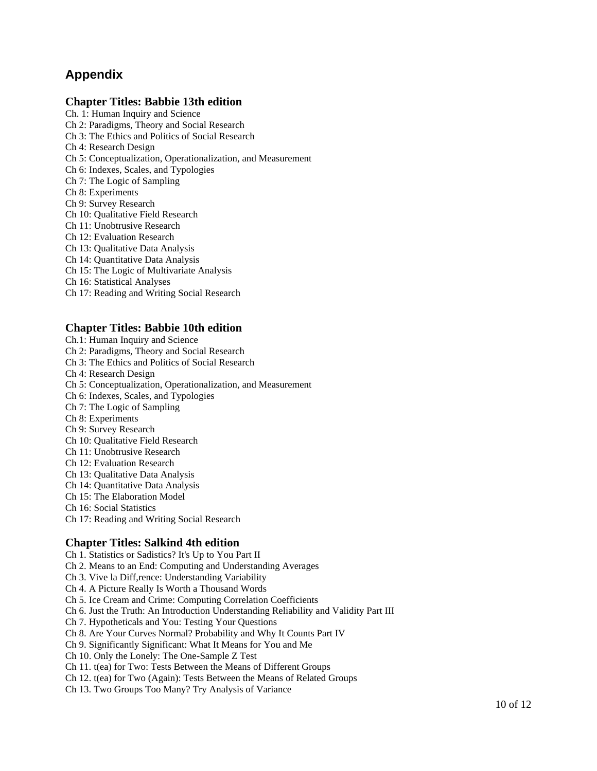### **Appendix**

### **Chapter Titles: Babbie 13th edition**

Ch. 1: Human Inquiry and Science Ch 2: Paradigms, Theory and Social Research Ch 3: The Ethics and Politics of Social Research Ch 4: Research Design Ch 5: Conceptualization, Operationalization, and Measurement Ch 6: Indexes, Scales, and Typologies Ch 7: The Logic of Sampling Ch 8: Experiments Ch 9: Survey Research Ch 10: Qualitative Field Research Ch 11: Unobtrusive Research Ch 12: Evaluation Research Ch 13: Qualitative Data Analysis Ch 14: Quantitative Data Analysis

- Ch 15: The Logic of Multivariate Analysis
- Ch 16: Statistical Analyses
- Ch 17: Reading and Writing Social Research

#### **Chapter Titles: Babbie 10th edition**

- Ch.1: Human Inquiry and Science
- Ch 2: Paradigms, Theory and Social Research
- Ch 3: The Ethics and Politics of Social Research
- Ch 4: Research Design
- Ch 5: Conceptualization, Operationalization, and Measurement
- Ch 6: Indexes, Scales, and Typologies
- Ch 7: The Logic of Sampling
- Ch 8: Experiments
- Ch 9: Survey Research
- Ch 10: Qualitative Field Research
- Ch 11: Unobtrusive Research
- Ch 12: Evaluation Research
- Ch 13: Qualitative Data Analysis
- Ch 14: Quantitative Data Analysis
- Ch 15: The Elaboration Model
- Ch 16: Social Statistics
- Ch 17: Reading and Writing Social Research

#### **Chapter Titles: Salkind 4th edition**

Ch 1. Statistics or Sadistics? It's Up to You Part II

- Ch 2. Means to an End: Computing and Understanding Averages
- Ch 3. Vive la Diff,rence: Understanding Variability
- Ch 4. A Picture Really Is Worth a Thousand Words
- Ch 5. Ice Cream and Crime: Computing Correlation Coefficients
- Ch 6. Just the Truth: An Introduction Understanding Reliability and Validity Part III
- Ch 7. Hypotheticals and You: Testing Your Questions
- Ch 8. Are Your Curves Normal? Probability and Why It Counts Part IV
- Ch 9. Significantly Significant: What It Means for You and Me
- Ch 10. Only the Lonely: The One-Sample Z Test
- Ch 11. t(ea) for Two: Tests Between the Means of Different Groups
- Ch 12. t(ea) for Two (Again): Tests Between the Means of Related Groups
- Ch 13. Two Groups Too Many? Try Analysis of Variance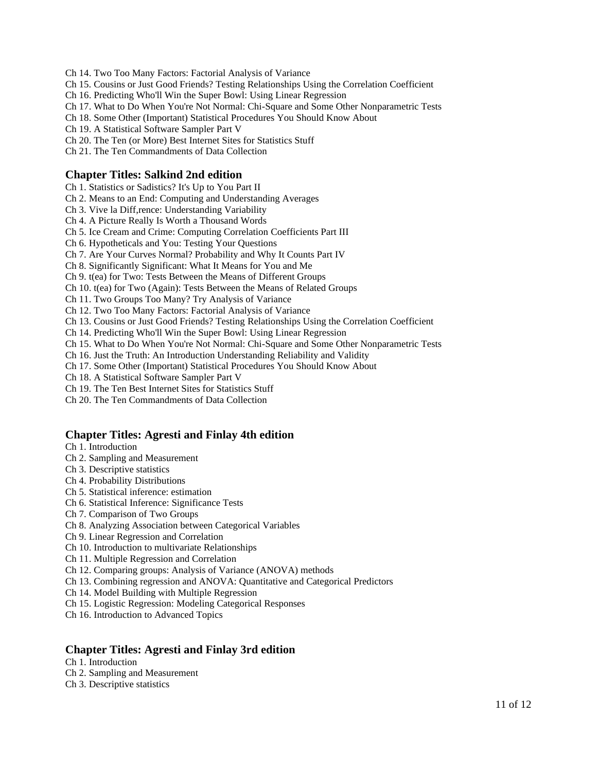Ch 14. Two Too Many Factors: Factorial Analysis of Variance

Ch 15. Cousins or Just Good Friends? Testing Relationships Using the Correlation Coefficient

Ch 16. Predicting Who'll Win the Super Bowl: Using Linear Regression

- Ch 17. What to Do When You're Not Normal: Chi-Square and Some Other Nonparametric Tests
- Ch 18. Some Other (Important) Statistical Procedures You Should Know About

Ch 19. A Statistical Software Sampler Part V

Ch 20. The Ten (or More) Best Internet Sites for Statistics Stuff

Ch 21. The Ten Commandments of Data Collection

### **Chapter Titles: Salkind 2nd edition**

Ch 1. Statistics or Sadistics? It's Up to You Part II

Ch 2. Means to an End: Computing and Understanding Averages

Ch 3. Vive la Diff,rence: Understanding Variability

Ch 4. A Picture Really Is Worth a Thousand Words

Ch 5. Ice Cream and Crime: Computing Correlation Coefficients Part III

Ch 6. Hypotheticals and You: Testing Your Questions

Ch 7. Are Your Curves Normal? Probability and Why It Counts Part IV

Ch 8. Significantly Significant: What It Means for You and Me

Ch 9. t(ea) for Two: Tests Between the Means of Different Groups

Ch 10. t(ea) for Two (Again): Tests Between the Means of Related Groups

Ch 11. Two Groups Too Many? Try Analysis of Variance

Ch 12. Two Too Many Factors: Factorial Analysis of Variance

Ch 13. Cousins or Just Good Friends? Testing Relationships Using the Correlation Coefficient

Ch 14. Predicting Who'll Win the Super Bowl: Using Linear Regression

Ch 15. What to Do When You're Not Normal: Chi-Square and Some Other Nonparametric Tests

Ch 16. Just the Truth: An Introduction Understanding Reliability and Validity

Ch 17. Some Other (Important) Statistical Procedures You Should Know About

Ch 18. A Statistical Software Sampler Part V

Ch 19. The Ten Best Internet Sites for Statistics Stuff

Ch 20. The Ten Commandments of Data Collection

#### **Chapter Titles: Agresti and Finlay 4th edition**

Ch 1. Introduction

- Ch 2. Sampling and Measurement
- Ch 3. Descriptive statistics
- Ch 4. Probability Distributions
- Ch 5. Statistical inference: estimation
- Ch 6. Statistical Inference: Significance Tests
- Ch 7. Comparison of Two Groups
- Ch 8. Analyzing Association between Categorical Variables
- Ch 9. Linear Regression and Correlation
- Ch 10. Introduction to multivariate Relationships
- Ch 11. Multiple Regression and Correlation

Ch 12. Comparing groups: Analysis of Variance (ANOVA) methods

Ch 13. Combining regression and ANOVA: Quantitative and Categorical Predictors

Ch 14. Model Building with Multiple Regression

- Ch 15. Logistic Regression: Modeling Categorical Responses
- Ch 16. Introduction to Advanced Topics

### **Chapter Titles: Agresti and Finlay 3rd edition**

Ch 1. Introduction

Ch 2. Sampling and Measurement

Ch 3. Descriptive statistics